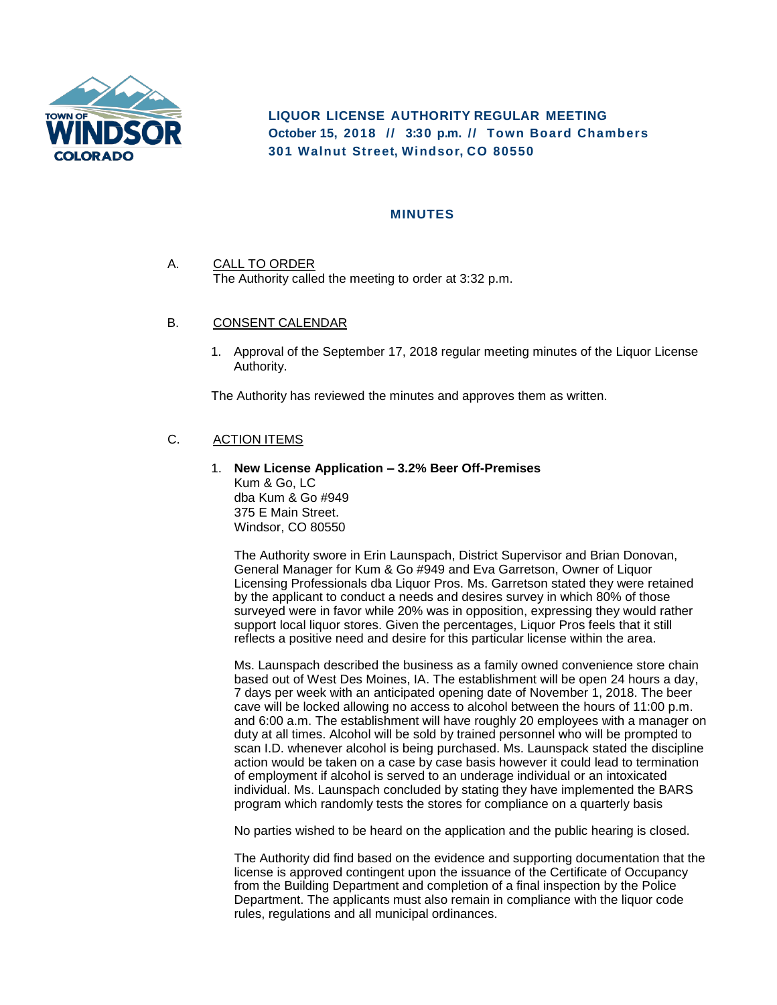

**LIQUOR LICENSE AUTHORITY REGULAR MEETING October 15, 2018 // 3:30 p. m. // Town Board Chambers 301 Walnut Street, Windsor, CO 80550**

## **MINUTES**

A. CALL TO ORDER The Authority called the meeting to order at 3:32 p.m.

## B. CONSENT CALENDAR

1. Approval of the September 17, 2018 regular meeting minutes of the Liquor License Authority.

The Authority has reviewed the minutes and approves them as written.

## C. ACTION ITEMS

1. **New License Application – 3.2% Beer Off-Premises** Kum & Go, LC dba Kum & Go #949 375 E Main Street. Windsor, CO 80550

The Authority swore in Erin Launspach, District Supervisor and Brian Donovan, General Manager for Kum & Go #949 and Eva Garretson, Owner of Liquor Licensing Professionals dba Liquor Pros. Ms. Garretson stated they were retained by the applicant to conduct a needs and desires survey in which 80% of those surveyed were in favor while 20% was in opposition, expressing they would rather support local liquor stores. Given the percentages, Liquor Pros feels that it still reflects a positive need and desire for this particular license within the area.

Ms. Launspach described the business as a family owned convenience store chain based out of West Des Moines, IA. The establishment will be open 24 hours a day, 7 days per week with an anticipated opening date of November 1, 2018. The beer cave will be locked allowing no access to alcohol between the hours of 11:00 p.m. and 6:00 a.m. The establishment will have roughly 20 employees with a manager on duty at all times. Alcohol will be sold by trained personnel who will be prompted to scan I.D. whenever alcohol is being purchased. Ms. Launspack stated the discipline action would be taken on a case by case basis however it could lead to termination of employment if alcohol is served to an underage individual or an intoxicated individual. Ms. Launspach concluded by stating they have implemented the BARS program which randomly tests the stores for compliance on a quarterly basis

No parties wished to be heard on the application and the public hearing is closed.

The Authority did find based on the evidence and supporting documentation that the license is approved contingent upon the issuance of the Certificate of Occupancy from the Building Department and completion of a final inspection by the Police Department. The applicants must also remain in compliance with the liquor code rules, regulations and all municipal ordinances.